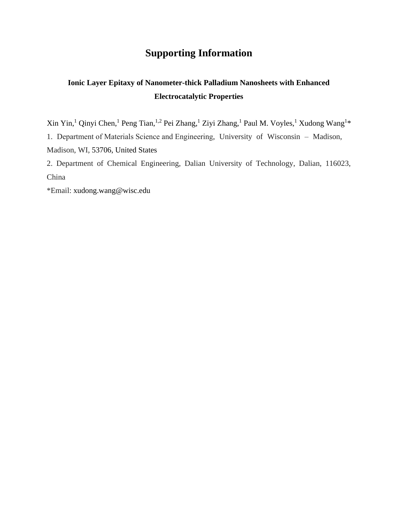## **Supporting Information**

## **Ionic Layer Epitaxy of Nanometer-thick Palladium Nanosheets with Enhanced Electrocatalytic Properties**

 $X$ in Yin,<sup>1</sup> Qinyi Chen,<sup>1</sup> Peng Tian,<sup>1,2</sup> Pei Zhang,<sup>1</sup> Ziyi Zhang,<sup>1</sup> Paul M. Voyles,<sup>1</sup> Xudong Wang<sup>1\*</sup> 1. Department of Materials Science and Engineering, University of Wisconsin – Madison, Madison, WI, 53706, United States

2. Department of Chemical Engineering, Dalian University of Technology, Dalian, 116023, China

\*Email: [xudong.wang@wisc.edu](mailto:xudong.wang@wisc.edu)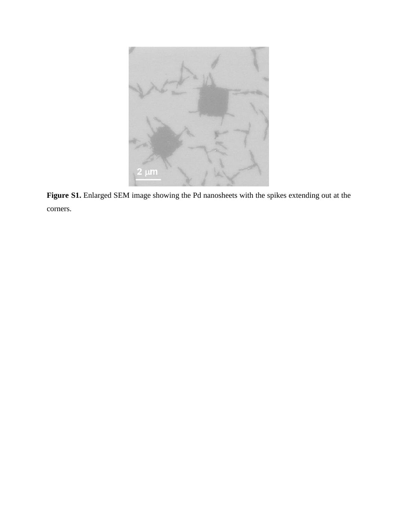

**Figure S1.** Enlarged SEM image showing the Pd nanosheets with the spikes extending out at the corners.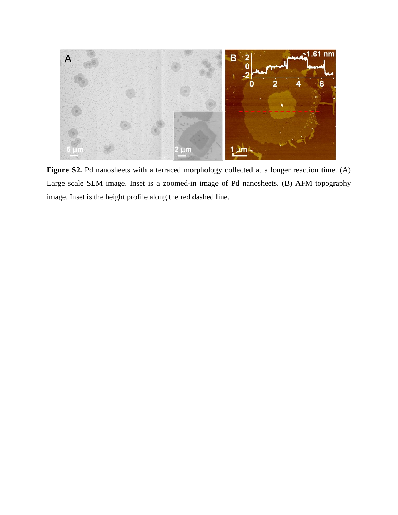

Figure S2. Pd nanosheets with a terraced morphology collected at a longer reaction time. (A) Large scale SEM image. Inset is a zoomed-in image of Pd nanosheets. (B) AFM topography image. Inset is the height profile along the red dashed line.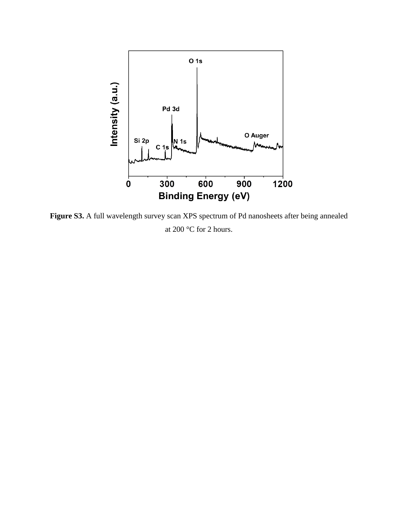

Figure S3. A full wavelength survey scan XPS spectrum of Pd nanosheets after being annealed at 200  $\,$  C for 2 hours.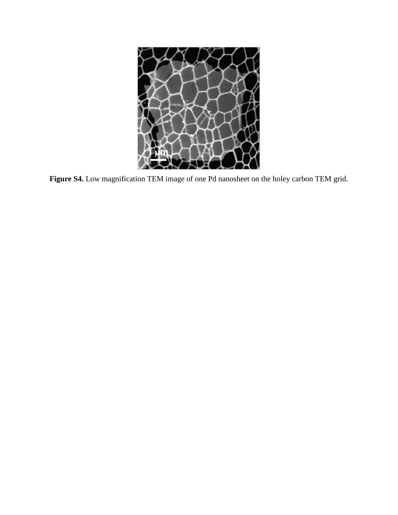

**Figure S4.** Low magnification TEM image of one Pd nanosheet on the holey carbon TEM grid.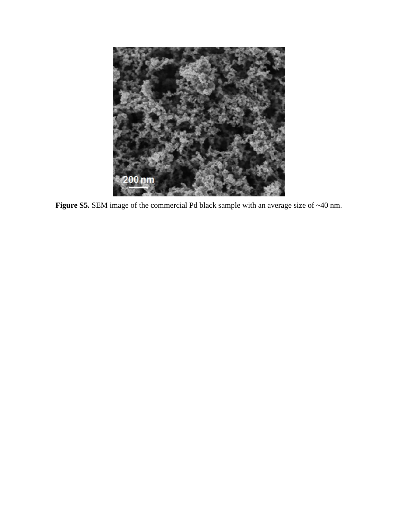

Figure S5. SEM image of the commercial Pd black sample with an average size of ~40 nm.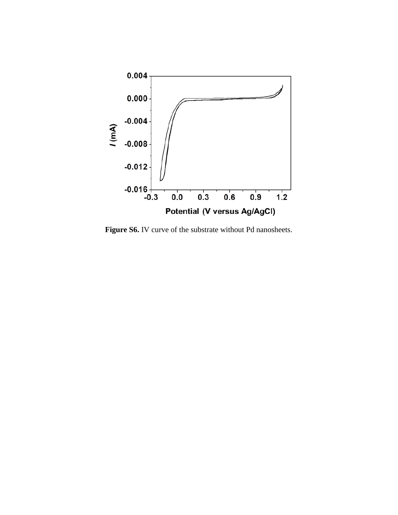

Figure S6. IV curve of the substrate without Pd nanosheets.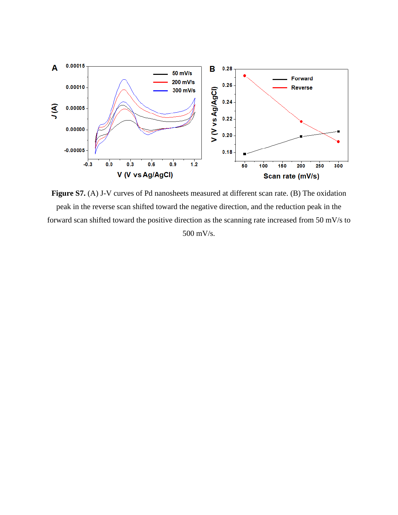

**Figure S7.** (A) J-V curves of Pd nanosheets measured at different scan rate. (B) The oxidation peak in the reverse scan shifted toward the negative direction, and the reduction peak in the forward scan shifted toward the positive direction as the scanning rate increased from 50 mV/s to 500 mV/s.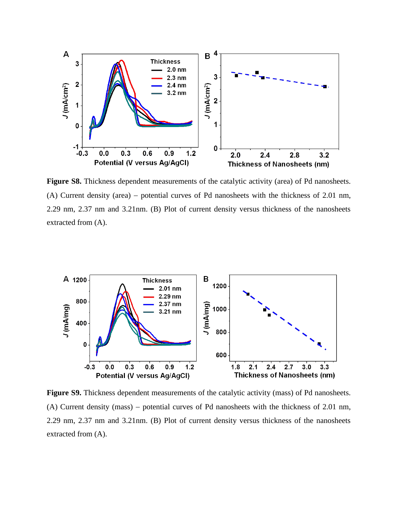

**Figure S8.** Thickness dependent measurements of the catalytic activity (area) of Pd nanosheets. (A) Current density (area) – potential curves of Pd nanosheets with the thickness of 2.01 nm, 2.29 nm, 2.37 nm and 3.21nm. (B) Plot of current density versus thickness of the nanosheets extracted from (A).



**Figure S9.** Thickness dependent measurements of the catalytic activity (mass) of Pd nanosheets. (A) Current density (mass) – potential curves of Pd nanosheets with the thickness of  $2.01 \text{ nm}$ , 2.29 nm, 2.37 nm and 3.21nm. (B) Plot of current density versus thickness of the nanosheets extracted from (A).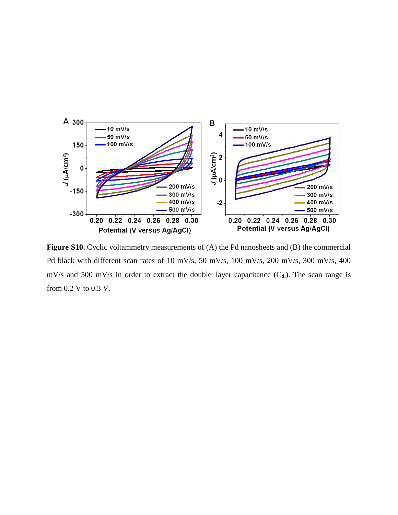

Figure S10. Cyclic voltammetry measurements of (A) the Pd nanosheets and (B) the commercial Pd black with different scan rates of 10 mV/s, 50 mV/s, 100 mV/s, 200 mV/s, 300 mV/s, 400 mV/s and 500 mV/s in order to extract the double-layer capacitance  $(C_{d})$ . The scan range is from 0.2 V to 0.3 V.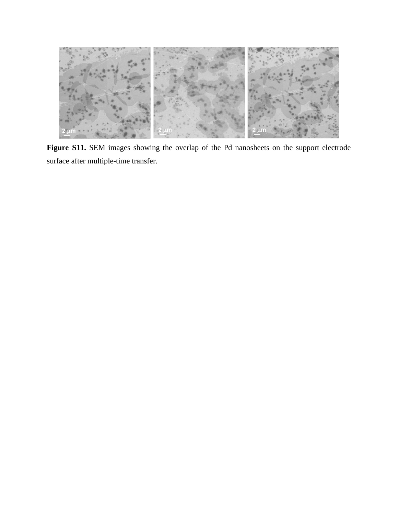

Figure S11. SEM images showing the overlap of the Pd nanosheets on the support electrode surface after multiple-time transfer.